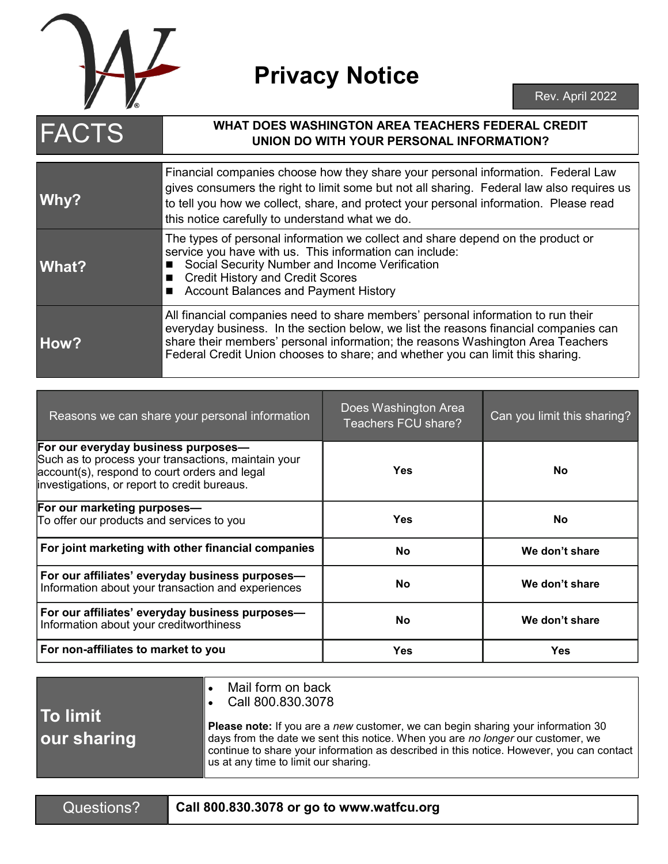

## **Privacy Notice**

| <b>FACTS</b> | <b>WHAT DOES WASHINGTON AREA TEACHERS FEDERAL CREDIT</b><br>UNION DO WITH YOUR PERSONAL INFORMATION?                                                                                                                                                                                                                                          |  |
|--------------|-----------------------------------------------------------------------------------------------------------------------------------------------------------------------------------------------------------------------------------------------------------------------------------------------------------------------------------------------|--|
| Why?         | Financial companies choose how they share your personal information. Federal Law<br>gives consumers the right to limit some but not all sharing. Federal law also requires us<br>to tell you how we collect, share, and protect your personal information. Please read<br>this notice carefully to understand what we do.                     |  |
| <b>What?</b> | The types of personal information we collect and share depend on the product or<br>service you have with us. This information can include:<br>Social Security Number and Income Verification<br><b>Credit History and Credit Scores</b><br><b>Account Balances and Payment History</b>                                                        |  |
| <b>How?</b>  | All financial companies need to share members' personal information to run their<br>everyday business. In the section below, we list the reasons financial companies can<br>share their members' personal information; the reasons Washington Area Teachers<br>Federal Credit Union chooses to share; and whether you can limit this sharing. |  |

| Reasons we can share your personal information                                                                                                                                              | Does Washington Area<br>Teachers FCU share? | Can you limit this sharing? |
|---------------------------------------------------------------------------------------------------------------------------------------------------------------------------------------------|---------------------------------------------|-----------------------------|
| For our everyday business purposes-<br>Such as to process your transactions, maintain your<br>account(s), respond to court orders and legal<br>investigations, or report to credit bureaus. | Yes                                         | <b>No</b>                   |
| For our marketing purposes-<br>To offer our products and services to you                                                                                                                    | <b>Yes</b>                                  | <b>No</b>                   |
| For joint marketing with other financial companies                                                                                                                                          | <b>No</b>                                   | We don't share              |
| For our affiliates' everyday business purposes-<br>Information about your transaction and experiences                                                                                       | <b>No</b>                                   | We don't share              |
| For our affiliates' everyday business purposes-<br>Information about your creditworthiness                                                                                                  | <b>No</b>                                   | We don't share              |
| For non-affiliates to market to you                                                                                                                                                         | <b>Yes</b>                                  | Yes                         |

|                           | Mail form on back<br>$\cdot$ Call 800.830.3078                                                                                                                                                                   |
|---------------------------|------------------------------------------------------------------------------------------------------------------------------------------------------------------------------------------------------------------|
| l To limit<br>our sharing | <b>Please note:</b> If you are a new customer, we can be<br>days from the date we sent this notice. When you ar<br>continue to share your information as described in tl<br>us at any time to limit our sharing. |

**Please note:** If you are a *new* customer, we can begin sharing your information 30 days from the date we sent this notice. When you are *no longer* our customer, we his notice. However, you can contact

Questions? **Call 800.830.3078 or go to www.watfcu.org**